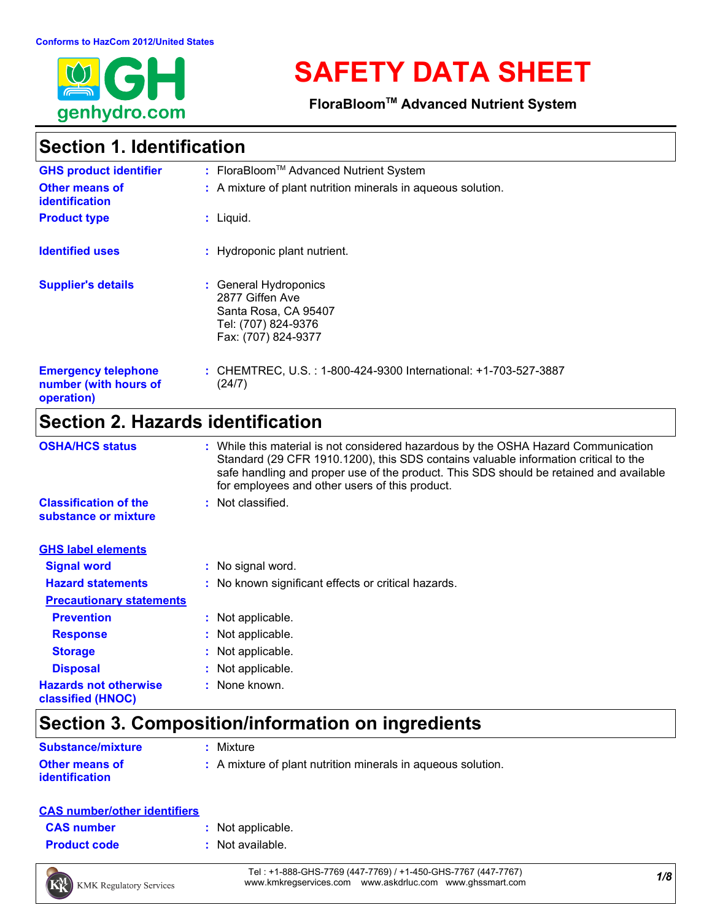

# **SAFETY DATA SHEET**

**FloraBloomTM Advanced Nutrient System**

# **Section 1. Identification**

| <b>GHS product identifier</b>                                     | : FloraBloom™ Advanced Nutrient System                                                                         |
|-------------------------------------------------------------------|----------------------------------------------------------------------------------------------------------------|
| Other means of<br><b>identification</b>                           | : A mixture of plant nutrition minerals in aqueous solution.                                                   |
| <b>Product type</b>                                               | $:$ Liquid.                                                                                                    |
| <b>Identified uses</b>                                            | : Hydroponic plant nutrient.                                                                                   |
| <b>Supplier's details</b>                                         | : General Hydroponics<br>2877 Giffen Ave<br>Santa Rosa, CA 95407<br>Tel: (707) 824-9376<br>Fax: (707) 824-9377 |
| <b>Emergency telephone</b><br>number (with hours of<br>operation) | : CHEMTREC, U.S. : 1-800-424-9300 International: +1-703-527-3887<br>(24/7)                                     |

# **Section 2. Hazards identification**

| <b>OSHA/HCS status</b>                               | : While this material is not considered hazardous by the OSHA Hazard Communication<br>Standard (29 CFR 1910.1200), this SDS contains valuable information critical to the<br>safe handling and proper use of the product. This SDS should be retained and available<br>for employees and other users of this product. |
|------------------------------------------------------|-----------------------------------------------------------------------------------------------------------------------------------------------------------------------------------------------------------------------------------------------------------------------------------------------------------------------|
| <b>Classification of the</b><br>substance or mixture | : Not classified.                                                                                                                                                                                                                                                                                                     |
| <b>GHS label elements</b>                            |                                                                                                                                                                                                                                                                                                                       |
| <b>Signal word</b>                                   | : No signal word.                                                                                                                                                                                                                                                                                                     |
| <b>Hazard statements</b>                             | : No known significant effects or critical hazards.                                                                                                                                                                                                                                                                   |
| <b>Precautionary statements</b>                      |                                                                                                                                                                                                                                                                                                                       |
| <b>Prevention</b>                                    | : Not applicable.                                                                                                                                                                                                                                                                                                     |
| <b>Response</b>                                      | : Not applicable.                                                                                                                                                                                                                                                                                                     |
| <b>Storage</b>                                       | : Not applicable.                                                                                                                                                                                                                                                                                                     |
| <b>Disposal</b>                                      | : Not applicable.                                                                                                                                                                                                                                                                                                     |
| <b>Hazards not otherwise</b><br>classified (HNOC)    | : None known.                                                                                                                                                                                                                                                                                                         |

# **Section 3. Composition/information on ingredients**

| <b>Substance/mixture</b>                       | : Mixture                                                    |
|------------------------------------------------|--------------------------------------------------------------|
| <b>Other means of</b><br><b>identification</b> | : A mixture of plant nutrition minerals in aqueous solution. |

#### **CAS number/other identifiers**

| <b>CAS number</b> |  |
|-------------------|--|
| .                 |  |

- **:** Not applicable.
- **Product code :** Not available.



*1/8* Tel : +1-888-GHS-7769 (447-7769) / +1-450-GHS-7767 (447-7767) www.kmkregservices.com www.askdrluc.com www.ghssmart.com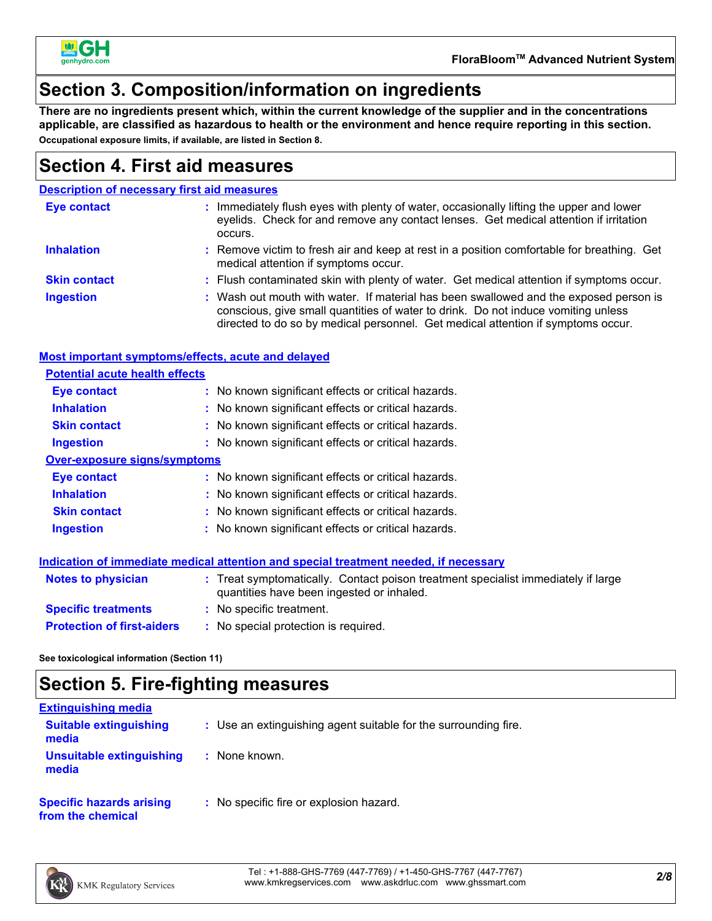

### **Section 3. Composition/information on ingredients**

**There are no ingredients present which, within the current knowledge of the supplier and in the concentrations applicable, are classified as hazardous to health or the environment and hence require reporting in this section. Occupational exposure limits, if available, are listed in Section 8.**

### **Section 4. First aid measures**

#### **Description of necessary first aid measures**

| <b>Eye contact</b>  | : Immediately flush eyes with plenty of water, occasionally lifting the upper and lower<br>eyelids. Check for and remove any contact lenses. Get medical attention if irritation<br>occurs.                                                                    |  |
|---------------------|----------------------------------------------------------------------------------------------------------------------------------------------------------------------------------------------------------------------------------------------------------------|--|
| <b>Inhalation</b>   | : Remove victim to fresh air and keep at rest in a position comfortable for breathing. Get<br>medical attention if symptoms occur.                                                                                                                             |  |
| <b>Skin contact</b> | : Flush contaminated skin with plenty of water. Get medical attention if symptoms occur.                                                                                                                                                                       |  |
| <b>Ingestion</b>    | : Wash out mouth with water. If material has been swallowed and the exposed person is<br>conscious, give small quantities of water to drink. Do not induce vomiting unless<br>directed to do so by medical personnel. Get medical attention if symptoms occur. |  |

#### **Most important symptoms/effects, acute and delayed**

| <b>Potential acute health effects</b>                                                |                                                                                                                                |  |  |  |
|--------------------------------------------------------------------------------------|--------------------------------------------------------------------------------------------------------------------------------|--|--|--|
| <b>Eye contact</b>                                                                   | : No known significant effects or critical hazards.                                                                            |  |  |  |
| <b>Inhalation</b>                                                                    | : No known significant effects or critical hazards.                                                                            |  |  |  |
| <b>Skin contact</b>                                                                  | : No known significant effects or critical hazards.                                                                            |  |  |  |
| <b>Ingestion</b>                                                                     | : No known significant effects or critical hazards.                                                                            |  |  |  |
| <b>Over-exposure signs/symptoms</b>                                                  |                                                                                                                                |  |  |  |
| Eye contact                                                                          | : No known significant effects or critical hazards.                                                                            |  |  |  |
| <b>Inhalation</b>                                                                    | : No known significant effects or critical hazards.                                                                            |  |  |  |
| <b>Skin contact</b>                                                                  | : No known significant effects or critical hazards.                                                                            |  |  |  |
| <b>Ingestion</b>                                                                     | : No known significant effects or critical hazards.                                                                            |  |  |  |
| Indication of immediate medical attention and special treatment needed, if necessary |                                                                                                                                |  |  |  |
| <b>Notes to physician</b>                                                            | : Treat symptomatically. Contact poison treatment specialist immediately if large<br>quantities have been ingested or inhaled. |  |  |  |
| <b>Specific treatments</b>                                                           | : No specific treatment.                                                                                                       |  |  |  |
| <b>Protection of first-aiders</b>                                                    | : No special protection is required.                                                                                           |  |  |  |

**See toxicological information (Section 11)**

# **Section 5. Fire-fighting measures**

| <b>Extinguishing media</b>                           |                                                                 |
|------------------------------------------------------|-----------------------------------------------------------------|
| <b>Suitable extinguishing</b><br>media               | : Use an extinguishing agent suitable for the surrounding fire. |
| Unsuitable extinguishing<br>media                    | : None known.                                                   |
| <b>Specific hazards arising</b><br>from the chemical | : No specific fire or explosion hazard.                         |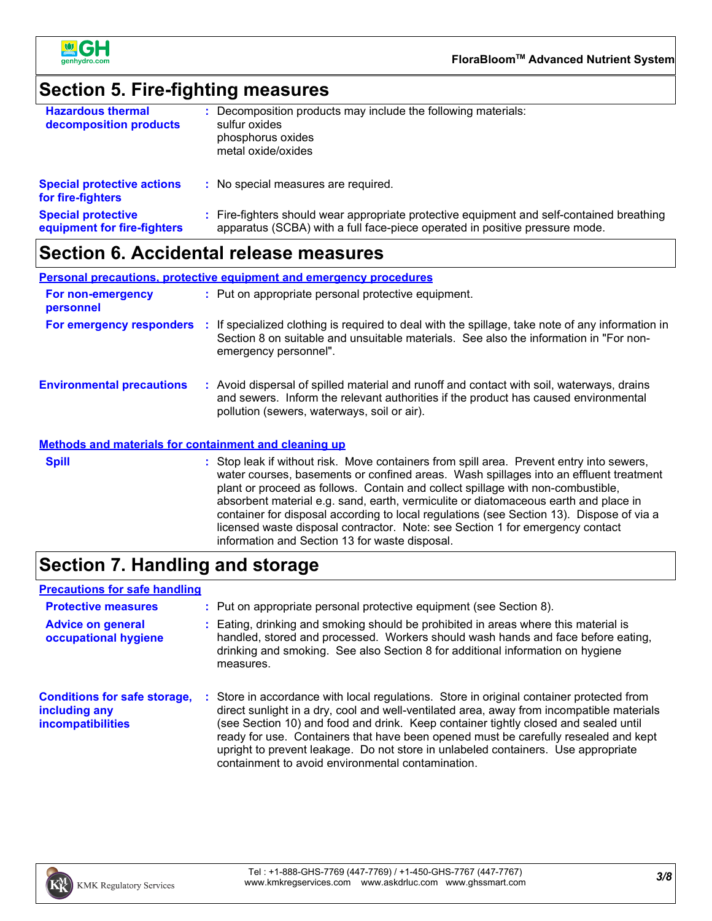

### **Section 5. Fire-fighting measures**

| <b>Hazardous thermal</b><br>decomposition products       | Decomposition products may include the following materials:<br>sulfur oxides<br>phosphorus oxides<br>metal oxide/oxides                                                  |
|----------------------------------------------------------|--------------------------------------------------------------------------------------------------------------------------------------------------------------------------|
| <b>Special protective actions</b><br>for fire-fighters   | : No special measures are required.                                                                                                                                      |
| <b>Special protective</b><br>equipment for fire-fighters | : Fire-fighters should wear appropriate protective equipment and self-contained breathing<br>apparatus (SCBA) with a full face-piece operated in positive pressure mode. |

## **Section 6. Accidental release measures**

**Environmental precautions Personal precautions, protective equipment and emergency procedures :** Avoid dispersal of spilled material and runoff and contact with soil, waterways, drains **:** Put on appropriate personal protective equipment. and sewers. Inform the relevant authorities if the product has caused environmental pollution (sewers, waterways, soil or air). **Methods and materials for containment and cleaning up For non-emergency personnel For emergency responders :** If specialized clothing is required to deal with the spillage, take note of any information in Section 8 on suitable and unsuitable materials. See also the information in "For nonemergency personnel". **Spill** Stop leak if without risk. Move containers from spill area. Prevent entry into sewers, water courses, basements or confined areas. Wash spillages into an effluent treatment plant or proceed as follows. Contain and collect spillage with non-combustible, absorbent material e.g. sand, earth, vermiculite or diatomaceous earth and place in container for disposal according to local regulations (see Section 13). Dispose of via a licensed waste disposal contractor. Note: see Section 1 for emergency contact

### **Section 7. Handling and storage**

#### **Precautions for safe handling**

| <b>Protective measures</b>                                                       | : Put on appropriate personal protective equipment (see Section 8).                                                                                                                                                                                                                                                                                                                                                                                                                                           |  |
|----------------------------------------------------------------------------------|---------------------------------------------------------------------------------------------------------------------------------------------------------------------------------------------------------------------------------------------------------------------------------------------------------------------------------------------------------------------------------------------------------------------------------------------------------------------------------------------------------------|--|
| <b>Advice on general</b><br>occupational hygiene                                 | : Eating, drinking and smoking should be prohibited in areas where this material is<br>handled, stored and processed. Workers should wash hands and face before eating,<br>drinking and smoking. See also Section 8 for additional information on hygiene<br>measures.                                                                                                                                                                                                                                        |  |
| <b>Conditions for safe storage,</b><br>including any<br><i>incompatibilities</i> | : Store in accordance with local regulations. Store in original container protected from<br>direct sunlight in a dry, cool and well-ventilated area, away from incompatible materials<br>(see Section 10) and food and drink. Keep container tightly closed and sealed until<br>ready for use. Containers that have been opened must be carefully resealed and kept<br>upright to prevent leakage. Do not store in unlabeled containers. Use appropriate<br>containment to avoid environmental contamination. |  |

information and Section 13 for waste disposal.

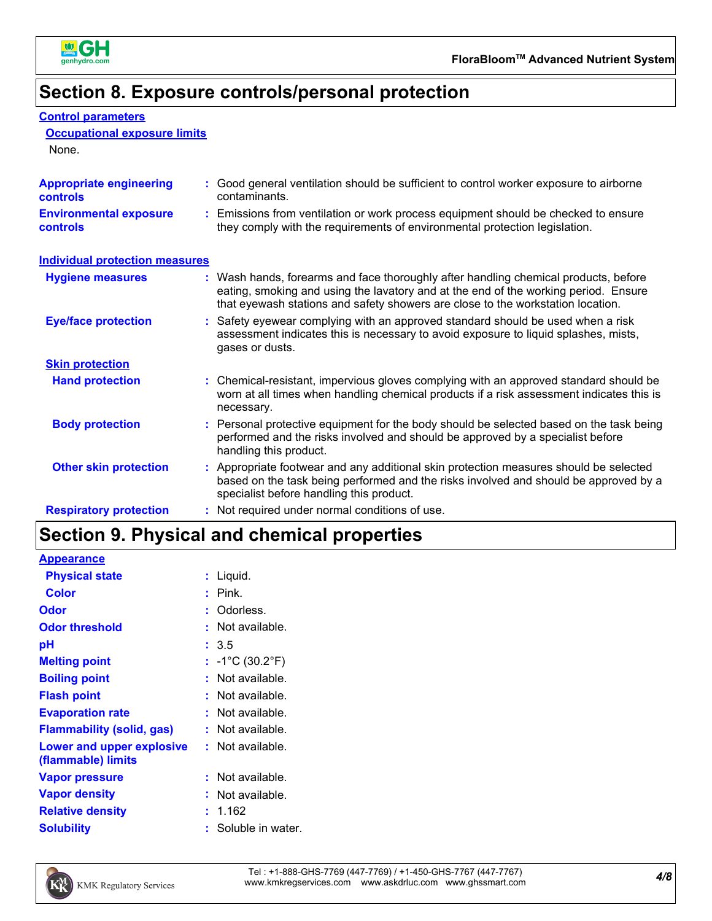

# **Section 8. Exposure controls/personal protection**

| <b>Control parameters</b> |
|---------------------------|
|                           |

#### **Occupational exposure limits**

None.

| <b>Appropriate engineering</b><br><b>controls</b> | : Good general ventilation should be sufficient to control worker exposure to airborne<br>contaminants.                                                                                                                                                       |
|---------------------------------------------------|---------------------------------------------------------------------------------------------------------------------------------------------------------------------------------------------------------------------------------------------------------------|
| <b>Environmental exposure</b><br><b>controls</b>  | : Emissions from ventilation or work process equipment should be checked to ensure<br>they comply with the requirements of environmental protection legislation.                                                                                              |
| <b>Individual protection measures</b>             |                                                                                                                                                                                                                                                               |
| <b>Hygiene measures</b>                           | : Wash hands, forearms and face thoroughly after handling chemical products, before<br>eating, smoking and using the lavatory and at the end of the working period. Ensure<br>that eyewash stations and safety showers are close to the workstation location. |
| <b>Eye/face protection</b>                        | : Safety eyewear complying with an approved standard should be used when a risk<br>assessment indicates this is necessary to avoid exposure to liquid splashes, mists,<br>gases or dusts.                                                                     |
| <b>Skin protection</b>                            |                                                                                                                                                                                                                                                               |
| <b>Hand protection</b>                            | : Chemical-resistant, impervious gloves complying with an approved standard should be<br>worn at all times when handling chemical products if a risk assessment indicates this is<br>necessary.                                                               |
| <b>Body protection</b>                            | : Personal protective equipment for the body should be selected based on the task being<br>performed and the risks involved and should be approved by a specialist before<br>handling this product.                                                           |
| <b>Other skin protection</b>                      | : Appropriate footwear and any additional skin protection measures should be selected<br>based on the task being performed and the risks involved and should be approved by a<br>specialist before handling this product.                                     |
| <b>Respiratory protection</b>                     | : Not required under normal conditions of use.                                                                                                                                                                                                                |

# **Section 9. Physical and chemical properties**

| Liquid.<br>÷.                                   |
|-------------------------------------------------|
| Pink.                                           |
| Odorless.<br>t                                  |
| Not available.<br>t                             |
| : 3.5                                           |
| : $-1^{\circ}$ C (30.2 $^{\circ}$ F)            |
| Not available.                                  |
| Not available.                                  |
| Not available.                                  |
| : Not available.                                |
| $:$ Not available.<br>Lower and upper explosive |
| Not available.                                  |
| Not available.                                  |
| 1.162                                           |
| Soluble in water.                               |
|                                                 |

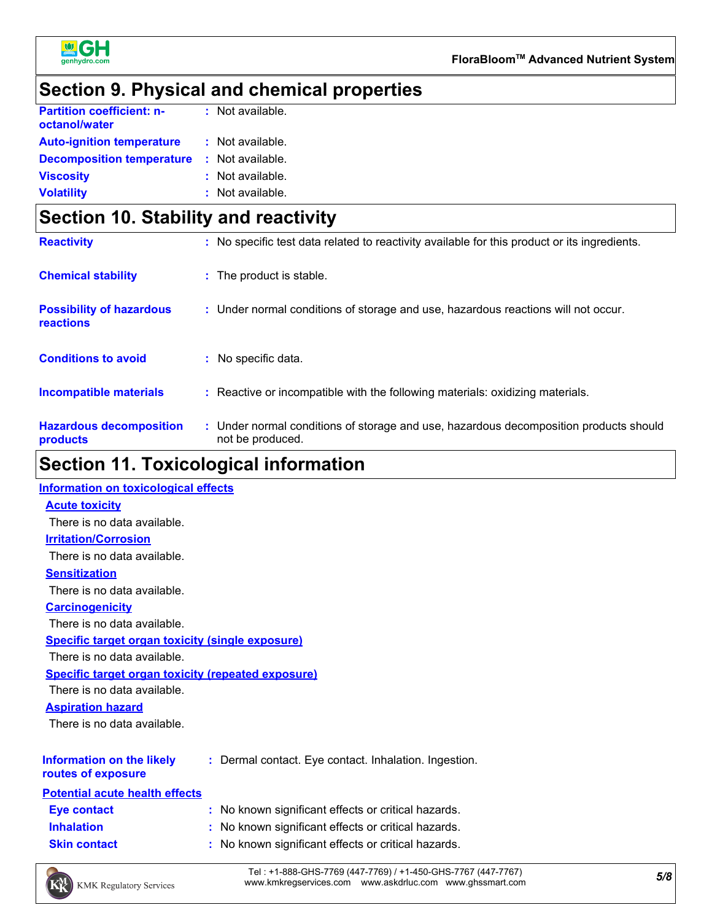

# **Section 9. Physical and chemical properties**

| <b>Partition coefficient: n-</b><br>octanol/water | : Not available. |
|---------------------------------------------------|------------------|
| <b>Auto-ignition temperature</b>                  | : Not available. |
| <b>Decomposition temperature</b>                  | : Not available. |
| <b>Viscosity</b>                                  | : Not available. |
| <b>Volatility</b>                                 | : Not available. |

# **Section 10. Stability and reactivity**

| <b>Reactivity</b>                            | : No specific test data related to reactivity available for this product or its ingredients.              |
|----------------------------------------------|-----------------------------------------------------------------------------------------------------------|
| <b>Chemical stability</b>                    | : The product is stable.                                                                                  |
| <b>Possibility of hazardous</b><br>reactions | : Under normal conditions of storage and use, hazardous reactions will not occur.                         |
| <b>Conditions to avoid</b>                   | : No specific data.                                                                                       |
| <b>Incompatible materials</b>                | : Reactive or incompatible with the following materials: oxidizing materials.                             |
| <b>Hazardous decomposition</b><br>products   | : Under normal conditions of storage and use, hazardous decomposition products should<br>not be produced. |

### **Section 11. Toxicological information**

| Information on toxicological effects                      |                                                       |
|-----------------------------------------------------------|-------------------------------------------------------|
| <b>Acute toxicity</b>                                     |                                                       |
| There is no data available.                               |                                                       |
| <b>Irritation/Corrosion</b>                               |                                                       |
| There is no data available.                               |                                                       |
| <b>Sensitization</b>                                      |                                                       |
| There is no data available.                               |                                                       |
| <b>Carcinogenicity</b>                                    |                                                       |
| There is no data available.                               |                                                       |
| <b>Specific target organ toxicity (single exposure)</b>   |                                                       |
| There is no data available.                               |                                                       |
| <b>Specific target organ toxicity (repeated exposure)</b> |                                                       |
| There is no data available.                               |                                                       |
| <b>Aspiration hazard</b>                                  |                                                       |
| There is no data available.                               |                                                       |
|                                                           |                                                       |
| <b>Information on the likely</b>                          | : Dermal contact. Eye contact. Inhalation. Ingestion. |
| routes of exposure                                        |                                                       |
| <b>Potential acute health effects</b>                     |                                                       |
| <b>Eye contact</b>                                        | : No known significant effects or critical hazards.   |
| <b>Inhalation</b>                                         | : No known significant effects or critical hazards.   |
| <b>Skin contact</b>                                       | : No known significant effects or critical hazards.   |
|                                                           |                                                       |

*5/8* Tel : +1-888-GHS-7769 (447-7769) / +1-450-GHS-7767 (447-7767) www.kmkregservices.com www.askdrluc.com www.ghssmart.com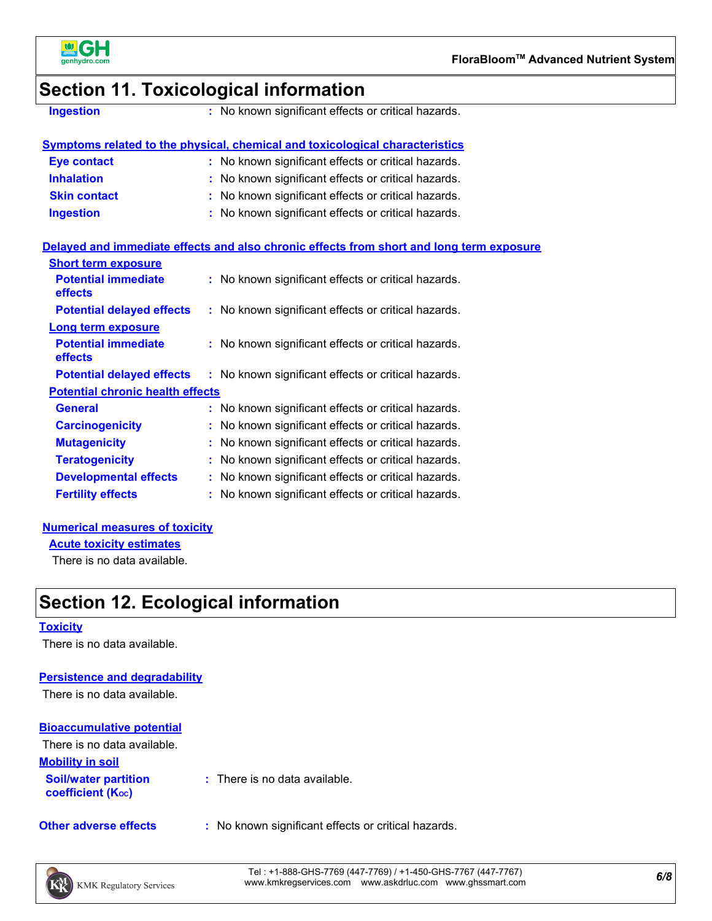

### **Section 11. Toxicological information**

**Ingestion :** No known significant effects or critical hazards.

### **Symptoms related to the physical, chemical and toxicological characteristics**

| <b>Eye contact</b>  | : No known significant effects or critical hazards. |
|---------------------|-----------------------------------------------------|
| <b>Inhalation</b>   | : No known significant effects or critical hazards. |
| <b>Skin contact</b> | : No known significant effects or critical hazards. |
| <b>Ingestion</b>    | : No known significant effects or critical hazards. |

#### **Delayed and immediate effects and also chronic effects from short and long term exposure**

| <b>Short term exposure</b>                   |                                                     |
|----------------------------------------------|-----------------------------------------------------|
| <b>Potential immediate</b><br><b>effects</b> | : No known significant effects or critical hazards. |
| <b>Potential delayed effects</b>             | : No known significant effects or critical hazards. |
| <b>Long term exposure</b>                    |                                                     |
| <b>Potential immediate</b><br>effects        | : No known significant effects or critical hazards. |
| <b>Potential delayed effects</b>             | : No known significant effects or critical hazards. |
| <b>Potential chronic health effects</b>      |                                                     |
| <b>General</b>                               | : No known significant effects or critical hazards. |
| <b>Carcinogenicity</b>                       | : No known significant effects or critical hazards. |
| <b>Mutagenicity</b>                          | : No known significant effects or critical hazards. |
| <b>Teratogenicity</b>                        | : No known significant effects or critical hazards. |
| <b>Developmental effects</b>                 | : No known significant effects or critical hazards. |
| <b>Fertility effects</b>                     | : No known significant effects or critical hazards. |

#### **Numerical measures of toxicity**

**Acute toxicity estimates**

There is no data available.

### **Section 12. Ecological information**

#### **Toxicity**

There is no data available.

#### **Persistence and degradability**

There is no data available.

### **Bioaccumulative potential**

| There is no data available.                             |                                          |
|---------------------------------------------------------|------------------------------------------|
| <b>Mobility in soil</b>                                 |                                          |
| <b>Soil/water partition</b><br><b>coefficient (Koc)</b> | $\therefore$ There is no data available. |

**Other adverse effects** : No known significant effects or critical hazards.

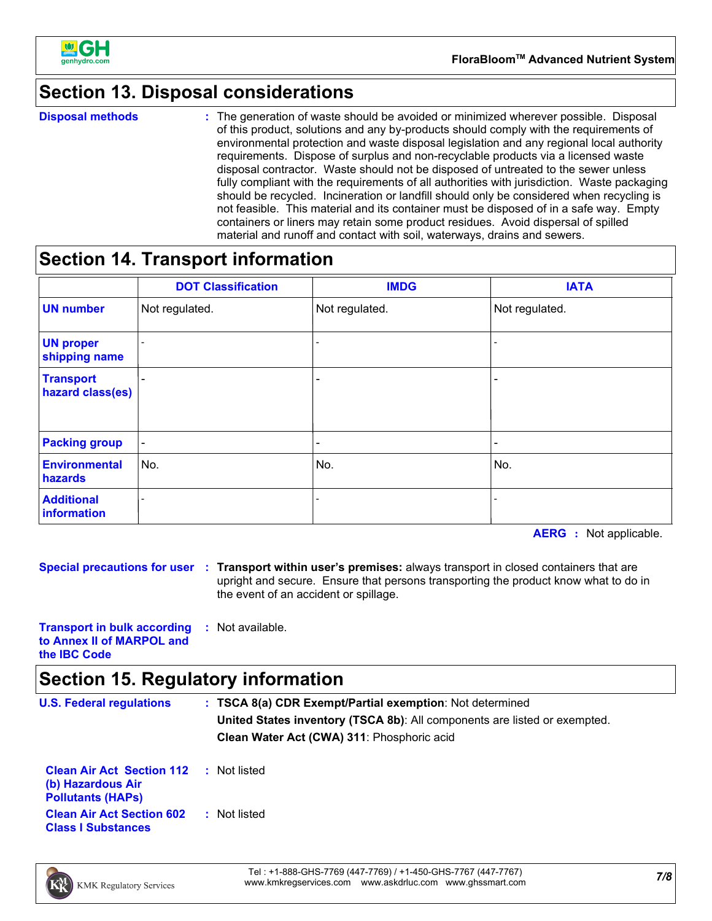

# **Section 13. Disposal considerations**

**Disposal methods :**

The generation of waste should be avoided or minimized wherever possible. Disposal of this product, solutions and any by-products should comply with the requirements of environmental protection and waste disposal legislation and any regional local authority requirements. Dispose of surplus and non-recyclable products via a licensed waste disposal contractor. Waste should not be disposed of untreated to the sewer unless fully compliant with the requirements of all authorities with jurisdiction. Waste packaging should be recycled. Incineration or landfill should only be considered when recycling is not feasible. This material and its container must be disposed of in a safe way. Empty containers or liners may retain some product residues. Avoid dispersal of spilled material and runoff and contact with soil, waterways, drains and sewers.

### **Section 14. Transport information**

|                                      | <b>DOT Classification</b> | <b>IMDG</b>    | <b>IATA</b>              |
|--------------------------------------|---------------------------|----------------|--------------------------|
| <b>UN number</b>                     | Not regulated.            | Not regulated. | Not regulated.           |
| <b>UN proper</b><br>shipping name    |                           |                |                          |
| <b>Transport</b><br>hazard class(es) |                           |                |                          |
| <b>Packing group</b>                 | $\overline{\phantom{a}}$  | -              | $\overline{\phantom{a}}$ |
| <b>Environmental</b><br>hazards      | No.                       | No.            | No.                      |
| <b>Additional</b><br>information     |                           |                |                          |

**AERG :** Not applicable.

**Special precautions for user Transport within user's premises:** always transport in closed containers that are **:** upright and secure. Ensure that persons transporting the product know what to do in the event of an accident or spillage.

**Transport in bulk according to Annex II of MARPOL and the IBC Code :** Not available.

### **Section 15. Regulatory information**

| <b>U.S. Federal regulations</b>                                                   | : TSCA 8(a) CDR Exempt/Partial exemption: Not determined<br><b>United States inventory (TSCA 8b):</b> All components are listed or exempted.<br>Clean Water Act (CWA) 311: Phosphoric acid |
|-----------------------------------------------------------------------------------|--------------------------------------------------------------------------------------------------------------------------------------------------------------------------------------------|
| <b>Clean Air Act Section 112</b><br>(b) Hazardous Air<br><b>Pollutants (HAPS)</b> | : Not listed                                                                                                                                                                               |
| <b>Clean Air Act Section 602</b><br><b>Class I Substances</b>                     | : Not listed                                                                                                                                                                               |